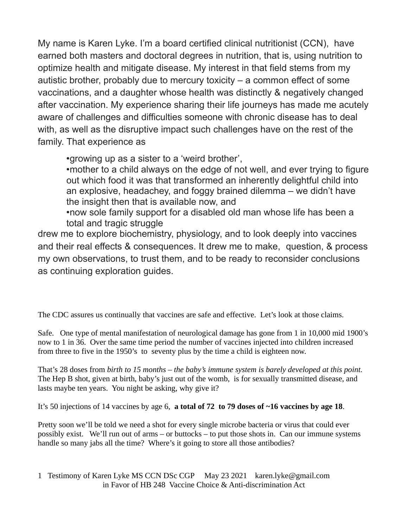My name is Karen Lyke. I'm a board certified clinical nutritionist (CCN), have earned both masters and doctoral degrees in nutrition, that is, using nutrition to optimize health and mitigate disease. My interest in that field stems from my autistic brother, probably due to mercury toxicity – a common effect of some vaccinations, and a daughter whose health was distinctly & negatively changed after vaccination. My experience sharing their life journeys has made me acutely aware of challenges and difficulties someone with chronic disease has to deal with, as well as the disruptive impact such challenges have on the rest of the family. That experience as

•growing up as a sister to a 'weird brother',

•mother to a child always on the edge of not well, and ever trying to figure out which food it was that transformed an inherently delightful child into an explosive, headachey, and foggy brained dilemma – we didn't have the insight then that is available now, and

•now sole family support for a disabled old man whose life has been a total and tragic struggle

drew me to explore biochemistry, physiology, and to look deeply into vaccines and their real effects & consequences. It drew me to make, question, & process my own observations, to trust them, and to be ready to reconsider conclusions as continuing exploration guides.

The CDC assures us continually that vaccines are safe and effective. Let's look at those claims.

Safe. One type of mental manifestation of neurological damage has gone from 1 in 10,000 mid 1900's now to 1 in 36. Over the same time period the number of vaccines injected into children increased from three to five in the 1950's to seventy plus by the time a child is eighteen now.

That's 28 doses from *birth to 15 months – the baby's immune system is barely developed at this point.* The Hep B shot, given at birth, baby's just out of the womb, is for sexually transmitted disease, and lasts maybe ten years. You night be asking, why give it?

It's 50 injections of 14 vaccines by age 6, **a total of 72 to 79 doses of ~16 vaccines by age 18**.

Pretty soon we'll be told we need a shot for every single microbe bacteria or virus that could ever possibly exist. We'll run out of arms – or buttocks – to put those shots in. Can our immune systems handle so many jabs all the time? Where's it going to store all those antibodies?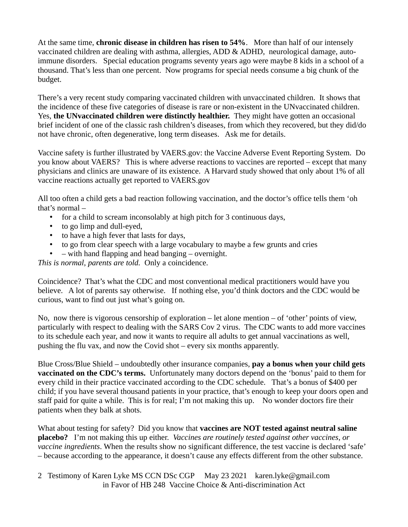At the same time, **chronic disease in children has risen to 54%**. More than half of our intensely vaccinated children are dealing with asthma, allergies, ADD & ADHD, neurological damage, autoimmune disorders. Special education programs seventy years ago were maybe 8 kids in a school of a thousand. That's less than one percent. Now programs for special needs consume a big chunk of the budget.

There's a very recent study comparing vaccinated children with unvaccinated children. It shows that the incidence of these five categories of disease is rare or non-existent in the UNvaccinated children. Yes, **the UNvaccinated children were distinctly healthier.** They might have gotten an occasional brief incident of one of the classic rash children's diseases, from which they recovered, but they did/do not have chronic, often degenerative, long term diseases. Ask me for details.

Vaccine safety is further illustrated by VAERS.gov: the Vaccine Adverse Event Reporting System. Do you know about VAERS? This is where adverse reactions to vaccines are reported – except that many physicians and clinics are unaware of its existence. A Harvard study showed that only about 1% of all vaccine reactions actually get reported to VAERS.gov

All too often a child gets a bad reaction following vaccination, and the doctor's office tells them 'oh that's normal –

- for a child to scream inconsolably at high pitch for 3 continuous days,
- to go limp and dull-eyed,
- to have a high fever that lasts for days,
- to go from clear speech with a large vocabulary to maybe a few grunts and cries
- – with hand flapping and head banging overnight.

*This is normal, parents are told.* Only a coincidence.

Coincidence? That's what the CDC and most conventional medical practitioners would have you believe. A lot of parents say otherwise. If nothing else, you'd think doctors and the CDC would be curious, want to find out just what's going on.

No, now there is vigorous censorship of exploration – let alone mention – of 'other' points of view, particularly with respect to dealing with the SARS Cov 2 virus. The CDC wants to add more vaccines to its schedule each year, and now it wants to require all adults to get annual vaccinations as well, pushing the flu vax, and now the Covid shot – every six months apparently.

Blue Cross/Blue Shield – undoubtedly other insurance companies, **pay a bonus when your child gets vaccinated on the CDC's terms.** Unfortunately many doctors depend on the 'bonus' paid to them for every child in their practice vaccinated according to the CDC schedule. That's a bonus of \$400 per child; if you have several thousand patients in your practice, that's enough to keep your doors open and staff paid for quite a while. This is for real; I'm not making this up. No wonder doctors fire their patients when they balk at shots.

What about testing for safety? Did you know that **vaccines are NOT tested against neutral saline placebo?** I'm not making this up either. *Vaccines are routinely tested against other vaccines, or vaccine ingredients*. When the results show no significant difference, the test vaccine is declared 'safe' – because according to the appearance, it doesn't cause any effects different from the other substance.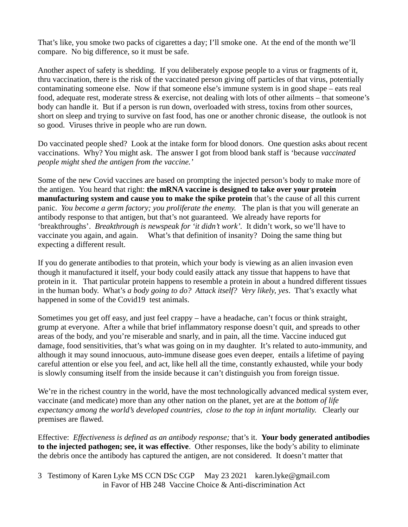That's like, you smoke two packs of cigarettes a day; I'll smoke one. At the end of the month we'll compare. No big difference, so it must be safe.

Another aspect of safety is shedding. If you deliberately expose people to a virus or fragments of it, thru vaccination, there is the risk of the vaccinated person giving off particles of that virus, potentially contaminating someone else. Now if that someone else's immune system is in good shape – eats real food, adequate rest, moderate stress & exercise, not dealing with lots of other ailments – that someone's body can handle it. But if a person is run down, overloaded with stress, toxins from other sources, short on sleep and trying to survive on fast food, has one or another chronic disease, the outlook is not so good. Viruses thrive in people who are run down.

Do vaccinated people shed? Look at the intake form for blood donors. One question asks about recent vaccinations. Why? You might ask. The answer I got from blood bank staff is 'because *vaccinated people might shed the antigen from the vaccine.'*

Some of the new Covid vaccines are based on prompting the injected person's body to make more of the antigen. You heard that right: **the mRNA vaccine is designed to take over your protein manufacturing system and cause you to make the spike protein** that's the cause of all this current panic. *You become a germ factory; you proliferate the enemy.* The plan is that you will generate an antibody response to that antigen, but that's not guaranteed. We already have reports for 'breakthroughs'. *Breakthrough is newspeak for 'it didn't work'.* It didn't work, so we'll have to vaccinate you again, and again. What's that definition of insanity? Doing the same thing but expecting a different result.

If you do generate antibodies to that protein, which your body is viewing as an alien invasion even though it manufactured it itself, your body could easily attack any tissue that happens to have that protein in it. That particular protein happens to resemble a protein in about a hundred different tissues in the human body. What's *a body going to do? Attack itself? Very likely, yes*. That's exactly what happened in some of the Covid19 test animals.

Sometimes you get off easy, and just feel crappy – have a headache, can't focus or think straight, grump at everyone. After a while that brief inflammatory response doesn't quit, and spreads to other areas of the body, and you're miserable and snarly, and in pain, all the time. Vaccine induced gut damage, food sensitivities, that's what was going on in my daughter. It's related to auto-immunity, and although it may sound innocuous, auto-immune disease goes even deeper, entails a lifetime of paying careful attention or else you feel, and act, like hell all the time, constantly exhausted, while your body is slowly consuming itself from the inside because it can't distinguish you from foreign tissue.

We're in the richest country in the world, have the most technologically advanced medical system ever, vaccinate (and medicate) more than any other nation on the planet, yet are at the *bottom of life expectancy among the world's developed countries, close to the top in infant mortality.* Clearly our premises are flawed.

Effective: *Effectiveness is defined as an antibody response;* that's it. **Your body generated antibodies to the injected pathogen; see, it was effective**. Other responses, like the body's ability to eliminate the debris once the antibody has captured the antigen, are not considered. It doesn't matter that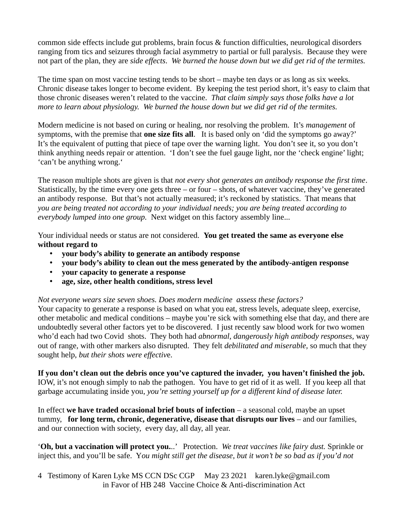common side effects include gut problems, brain focus & function difficulties, neurological disorders ranging from tics and seizures through facial asymmetry to partial or full paralysis. Because they were not part of the plan, they are *side effects*. *We burned the house down but we did get rid of the termites.*

The time span on most vaccine testing tends to be short – maybe ten days or as long as six weeks. Chronic disease takes longer to become evident. By keeping the test period short, it's easy to claim that those chronic diseases weren't related to the vaccine. *That claim simply says those folks have a lot more to learn about physiology. We burned the house down but we did get rid of the termites.*

Modern medicine is not based on curing or healing, nor resolving the problem. It's *management* of symptoms, with the premise that **one size fits all**. It is based only on 'did the symptoms go away?' It's the equivalent of putting that piece of tape over the warning light. You don't see it, so you don't think anything needs repair or attention. 'I don't see the fuel gauge light, nor the 'check engine' light; 'can't be anything wrong.'

The reason multiple shots are given is that *not every shot generates an antibody response the first time*. Statistically, by the time every one gets three – or four – shots, of whatever vaccine, they've generated an antibody response. But that's not actually measured; it's reckoned by statistics. That means that *you are being treated not according to your individual needs; you are being treated according to everybody lumped into one group.* Next widget on this factory assembly line...

Your individual needs or status are not considered. **You get treated the same as everyone else without regard to** 

- **your body's ability to generate an antibody response**
- **your body's ability to clean out the mess generated by the antibody-antigen response**
- **your capacity to generate a response**
- **age, size, other health conditions, stress level**

*Not everyone wears size seven shoes. Does modern medicine assess these factors?*

Your capacity to generate a response is based on what you eat, stress levels, adequate sleep, exercise, other metabolic and medical conditions – maybe you're sick with something else that day, and there are undoubtedly several other factors yet to be discovered. I just recently saw blood work for two women who'd each had two Covid shots. They both had *abnormal, dangerously high antibody responses,* way out of range, with other markers also disrupted. They felt *debilitated and miserable,* so much that they sought help, *but their shots were effectiv*e.

**If you don't clean out the debris once you've captured the invader, you haven't finished the job.**  IOW, it's not enough simply to nab the pathogen. You have to get rid of it as well. If you keep all that garbage accumulating inside you, *you're setting yourself up for a different kind of disease later.*

In effect **we have traded occasional brief bouts of infection** – a seasonal cold, maybe an upset tummy, **for long term, chronic, degenerative, disease that disrupts our lives** – and our families, and our connection with society, every day, all day, all year.

'**Oh, but a vaccination will protect you.**..' Protection. *We treat vaccines like fairy dust.* Sprinkle or inject this, and you'll be safe. Y*ou might still get the disease, but it won't be so bad as if you'd not*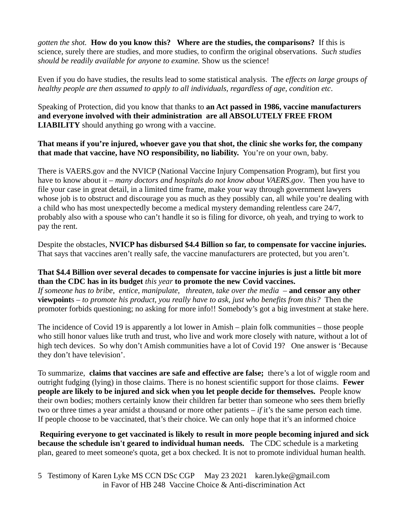*gotten the shot.* **How do you know this? Where are the studies, the comparisons?** If this is science, surely there are studies, and more studies, to confirm the original observations. *Such studies should be readily available for anyone to examine.* Show us the science!

Even if you do have studies, the results lead to some statistical analysis. The *effects on large groups of healthy people are then assumed to apply to all individuals, regardless of age, condition etc*.

Speaking of Protection, did you know that thanks to **an Act passed in 1986, vaccine manufacturers and everyone involved with their administration are all ABSOLUTELY FREE FROM LIABILITY** should anything go wrong with a vaccine.

**That means if you're injured, whoever gave you that shot, the clinic she works for, the company that made that vaccine, have NO responsibility, no liability.** You're on your own, baby.

There is VAERS.gov and the NVICP (National Vaccine Injury Compensation Program), but first you have to know about it – *many doctors and hospitals do not know about VAERS.gov*. Then you have to file your case in great detail, in a limited time frame, make your way through government lawyers whose job is to obstruct and discourage you as much as they possibly can, all while you're dealing with a child who has most unexpectedly become a medical mystery demanding relentless care 24/7, probably also with a spouse who can't handle it so is filing for divorce, oh yeah, and trying to work to pay the rent.

Despite the obstacles, **NVICP has disbursed \$4.4 Billion so far, to compensate for vaccine injuries.** That says that vaccines aren't really safe, the vaccine manufacturers are protected, but you aren't.

## **That \$4.4 Billion over several decades to compensate for vaccine injuries is just a little bit more than the CDC has in its budget** *this year* **to promote the new Covid vaccines.**

*If someone has to bribe, entice, manipulate, threaten, take over the media –* **and censor any other viewpoint**s – *to promote his product, you really have to ask, just who benefits from this?* Then the promoter forbids questioning; no asking for more info!! Somebody's got a big investment at stake here.

The incidence of Covid 19 is apparently a lot lower in Amish – plain folk communities – those people who still honor values like truth and trust, who live and work more closely with nature, without a lot of high tech devices. So why don't Amish communities have a lot of Covid 19? One answer is 'Because they don't have television'.

To summarize, **claims that vaccines are safe and effective are false;** there's a lot of wiggle room and outright fudging (lying) in those claims. There is no honest scientific support for those claims. **Fewer people are likely to be injured and sick when you let people decide for themselves.** People know their own bodies; mothers certainly know their children far better than someone who sees them briefly two or three times a year amidst a thousand or more other patients – *if* it's the same person each time. If people choose to be vaccinated, that's their choice. We can only hope that it's an informed choice

**Requiring everyone to get vaccinated is likely to result in more people becoming injured and sick because the schedule isn't geared to individual human needs.** The CDC schedule is a marketing plan, geared to meet someone's quota, get a box checked. It is not to promote individual human health.